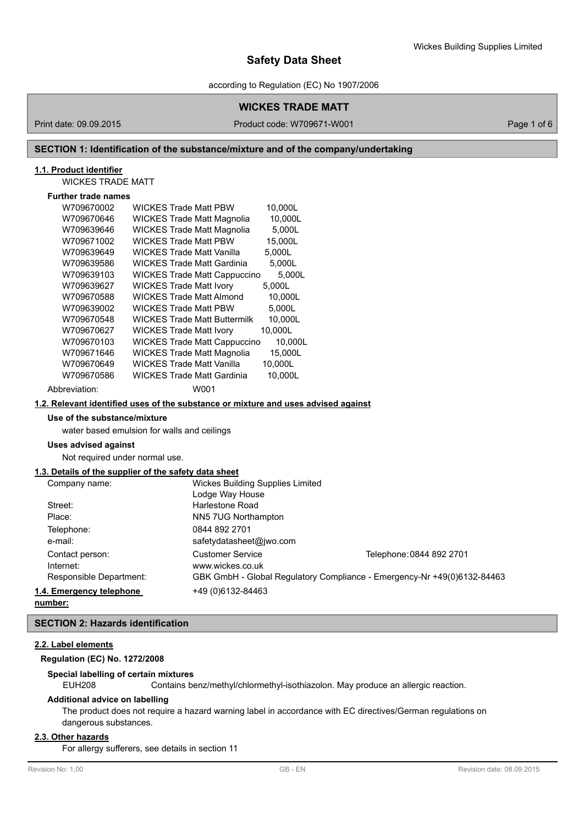according to Regulation (EC) No 1907/2006

## **WICKES TRADE MATT**

Print date: 09.09.2015 Product code: W709671-W001 Product code: W709671-W001

## **SECTION 1: Identification of the substance/mixture and of the company/undertaking**

## **1.1. Product identifier**

WICKES TRADE MATT

# **Further trade names**

| W709670002    | <b>WICKES Trade Matt PBW</b>        | 10,000L |
|---------------|-------------------------------------|---------|
| W709670646    | <b>WICKES Trade Matt Magnolia</b>   | 10,000L |
| W709639646    | <b>WICKES Trade Matt Magnolia</b>   | 5,000L  |
| W709671002    | <b>WICKES Trade Matt PBW</b>        | 15,000L |
| W709639649    | WICKES Trade Matt Vanilla           | 5.000L  |
| W709639586    | <b>WICKES Trade Matt Gardinia</b>   | 5,000L  |
| W709639103    | <b>WICKES Trade Matt Cappuccino</b> | 5,000L  |
| W709639627    | <b>WICKES Trade Matt Ivory</b>      | 5,000L  |
| W709670588    | <b>WICKES Trade Matt Almond</b>     | 10,000L |
| W709639002    | <b>WICKES Trade Matt PBW</b>        | 5,000L  |
| W709670548    | <b>WICKES Trade Matt Buttermilk</b> | 10,000L |
| W709670627    | <b>WICKES Trade Matt Ivory</b>      | 10,000L |
| W709670103    | <b>WICKES Trade Matt Cappuccino</b> | 10,000L |
| W709671646    | <b>WICKES Trade Matt Magnolia</b>   | 15,000L |
| W709670649    | <b>WICKES Trade Matt Vanilla</b>    | 10,000L |
| W709670586    | WICKES Trade Matt Gardinia          | 10,000L |
| Abbreviation: | W001                                |         |

#### **1.2. Relevant identified uses of the substance or mixture and uses advised against**

## **Use of the substance/mixture**

water based emulsion for walls and ceilings

## **Uses advised against**

Not required under normal use.

## **1.3. Details of the supplier of the safety data sheet**

| Company name:            | Wickes Building Supplies Limited |                                                                         |
|--------------------------|----------------------------------|-------------------------------------------------------------------------|
|                          | Lodge Way House                  |                                                                         |
| Street:                  | Harlestone Road                  |                                                                         |
| Place:                   | NN5 7UG Northampton              |                                                                         |
| Telephone:               | 0844 892 2701                    |                                                                         |
| e-mail:                  | safetydatasheet@jwo.com          |                                                                         |
| Contact person:          | <b>Customer Service</b>          | Telephone: 0844 892 2701                                                |
| Internet:                | www.wickes.co.uk                 |                                                                         |
| Responsible Department:  |                                  | GBK GmbH - Global Regulatory Compliance - Emergency-Nr +49(0)6132-84463 |
| 1.4. Emergency telephone | +49 (0) 6132-84463               |                                                                         |
|                          |                                  |                                                                         |

**number:**

# **SECTION 2: Hazards identification**

## **2.2. Label elements**

# **Regulation (EC) No. 1272/2008**

#### **Special labelling of certain mixtures**

EUH208 Contains benz/methyl/chlormethyl-isothiazolon. May produce an allergic reaction.

#### **Additional advice on labelling**

The product does not require a hazard warning label in accordance with EC directives/German regulations on dangerous substances.

## **2.3. Other hazards**

For allergy sufferers, see details in section 11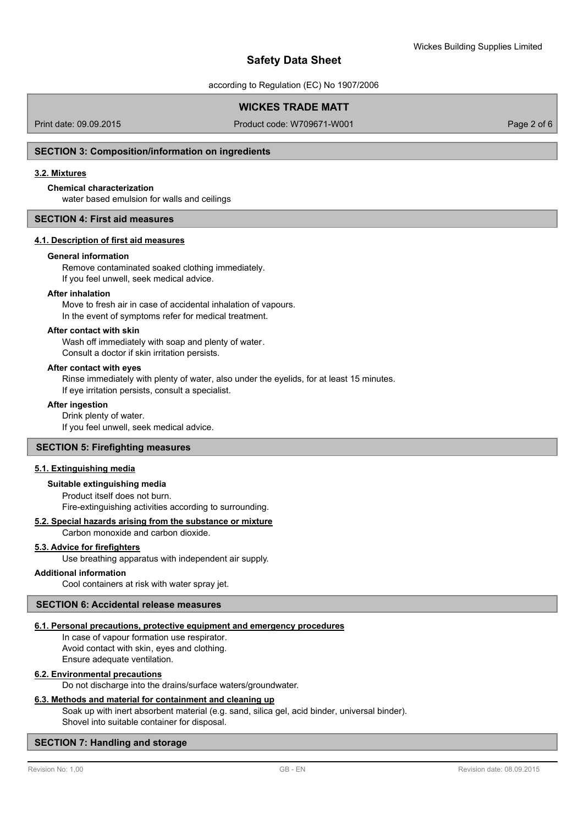according to Regulation (EC) No 1907/2006

# **WICKES TRADE MATT**

Print date: 09.09.2015 Product code: W709671-W001 Page 2 of 6

## **SECTION 3: Composition/information on ingredients**

## **3.2. Mixtures**

## **Chemical characterization**

water based emulsion for walls and ceilings

#### **SECTION 4: First aid measures**

## **4.1. Description of first aid measures**

#### **General information**

Remove contaminated soaked clothing immediately. If you feel unwell, seek medical advice.

#### **After inhalation**

Move to fresh air in case of accidental inhalation of vapours. In the event of symptoms refer for medical treatment.

#### **After contact with skin**

Wash off immediately with soap and plenty of water. Consult a doctor if skin irritation persists.

#### **After contact with eyes**

Rinse immediately with plenty of water, also under the eyelids, for at least 15 minutes. If eye irritation persists, consult a specialist.

#### **After ingestion**

Drink plenty of water. If you feel unwell, seek medical advice.

#### **SECTION 5: Firefighting measures**

### **5.1. Extinguishing media**

#### **Suitable extinguishing media**

Product itself does not burn. Fire-extinguishing activities according to surrounding.

## **5.2. Special hazards arising from the substance or mixture**

Carbon monoxide and carbon dioxide.

## **5.3. Advice for firefighters**

Use breathing apparatus with independent air supply.

#### **Additional information**

Cool containers at risk with water spray jet.

#### **SECTION 6: Accidental release measures**

### **6.1. Personal precautions, protective equipment and emergency procedures**

In case of vapour formation use respirator. Avoid contact with skin, eyes and clothing. Ensure adequate ventilation.

### **6.2. Environmental precautions**

Do not discharge into the drains/surface waters/groundwater.

### **6.3. Methods and material for containment and cleaning up**

Soak up with inert absorbent material (e.g. sand, silica gel, acid binder, universal binder). Shovel into suitable container for disposal.

#### **SECTION 7: Handling and storage**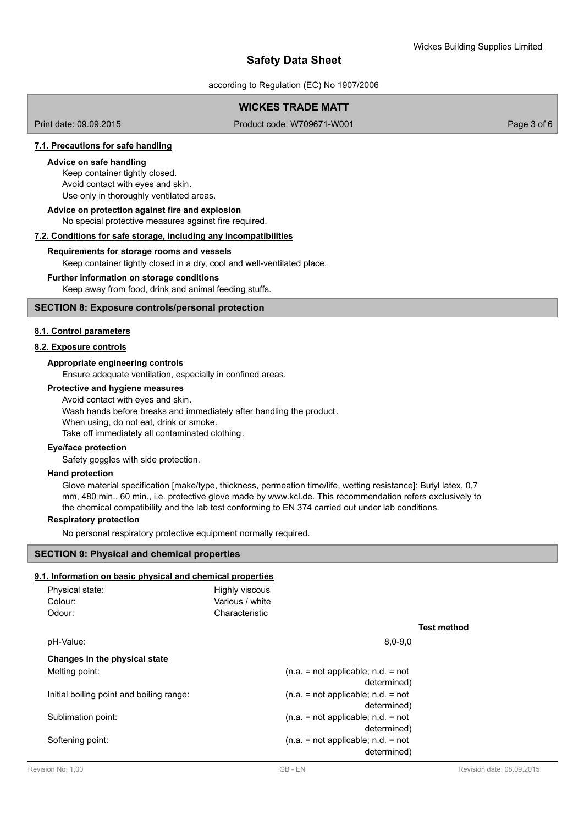according to Regulation (EC) No 1907/2006

# **WICKES TRADE MATT**

Print date: 09.09.2015 Product code: W709671-W001 Product code: W709671-W001

### **7.1. Precautions for safe handling**

#### **Advice on safe handling**

Keep container tightly closed. Avoid contact with eyes and skin. Use only in thoroughly ventilated areas.

No special protective measures against fire required. **Advice on protection against fire and explosion**

## **7.2. Conditions for safe storage, including any incompatibilities**

#### **Requirements for storage rooms and vessels**

Keep container tightly closed in a dry, cool and well-ventilated place.

#### **Further information on storage conditions**

Keep away from food, drink and animal feeding stuffs.

## **SECTION 8: Exposure controls/personal protection**

## **8.1. Control parameters**

## **8.2. Exposure controls**

#### **Appropriate engineering controls**

Ensure adequate ventilation, especially in confined areas.

## **Protective and hygiene measures**

Avoid contact with eyes and skin. Wash hands before breaks and immediately after handling the product. When using, do not eat, drink or smoke. Take off immediately all contaminated clothing.

# **Eye/face protection**

Safety goggles with side protection.

#### **Hand protection**

Glove material specification [make/type, thickness, permeation time/life, wetting resistance]: Butyl latex, 0,7 mm, 480 min., 60 min., i.e. protective glove made by www.kcl.de. This recommendation refers exclusively to the chemical compatibility and the lab test conforming to EN 374 carried out under lab conditions.

## **Respiratory protection**

No personal respiratory protective equipment normally required.

## **SECTION 9: Physical and chemical properties**

## **9.1. Information on basic physical and chemical properties**

| <b>Test method</b> |
|--------------------|
|                    |
|                    |
|                    |
|                    |
|                    |
|                    |
|                    |
|                    |
|                    |
|                    |
|                    |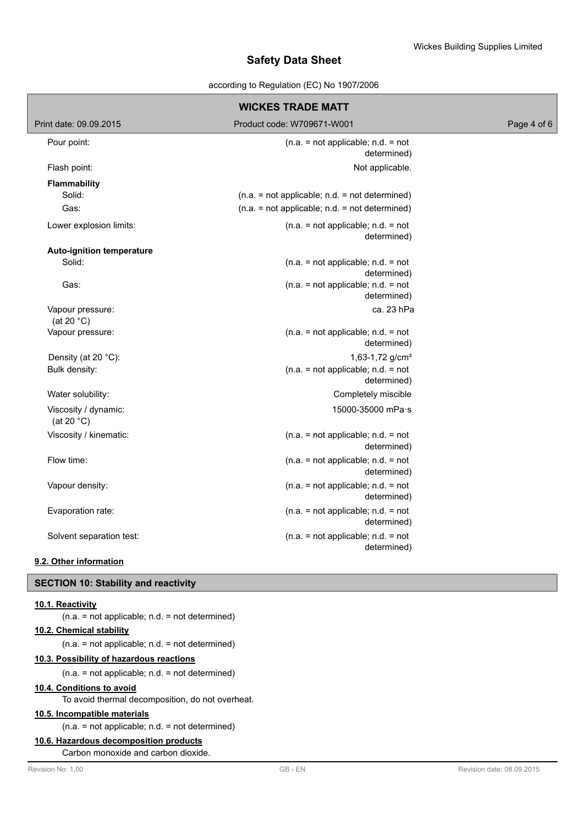### according to Regulation (EC) No 1907/2006

| <b>WICKES TRADE MATT</b>                     |                                                     |             |  |  |
|----------------------------------------------|-----------------------------------------------------|-------------|--|--|
| Print date: 09.09.2015                       | Product code: W709671-W001                          | Page 4 of 6 |  |  |
| Pour point:                                  | $(n.a. = not applicable; n.d. = not$<br>determined) |             |  |  |
| Flash point:                                 | Not applicable.                                     |             |  |  |
| <b>Flammability</b>                          |                                                     |             |  |  |
| Solid:                                       | $(n.a. = not applicable; n.d. = not determined)$    |             |  |  |
| Gas:                                         | $(n.a. = not applicable; n.d. = not determined)$    |             |  |  |
| Lower explosion limits:                      | $(n.a. = not applicable; n.d. = not$<br>determined) |             |  |  |
| Auto-ignition temperature                    |                                                     |             |  |  |
| Solid:                                       | $(n.a. = not applicable; n.d. = not$<br>determined) |             |  |  |
| Gas:                                         | $(n.a. = not applicable; n.d. = not$<br>determined) |             |  |  |
| Vapour pressure:<br>(at 20 $°C$ )            | ca. 23 hPa                                          |             |  |  |
| Vapour pressure:                             | $(n.a. = not applicable; n.d. = not$<br>determined) |             |  |  |
| Density (at 20 °C):                          | 1,63-1,72 $g/cm3$                                   |             |  |  |
| Bulk density:                                | $(n.a. = not applicable; n.d. = not$<br>determined) |             |  |  |
| Water solubility:                            | Completely miscible                                 |             |  |  |
| Viscosity / dynamic:<br>(at 20 $^{\circ}$ C) | 15000-35000 mPa·s                                   |             |  |  |
| Viscosity / kinematic:                       | $(n.a. = not applicable; n.d. = not$<br>determined) |             |  |  |
| Flow time:                                   | $(n.a. = not applicable; n.d. = not$<br>determined) |             |  |  |
| Vapour density:                              | $(n.a. = not applicable; n.d. = not$<br>determined) |             |  |  |
| Evaporation rate:                            | $(n.a. = not applicable; n.d. = not$<br>determined) |             |  |  |
| Solvent separation test:                     | $(n.a. = not applicable; n.d. = not$<br>determined) |             |  |  |
| 9.2. Other information                       |                                                     |             |  |  |

## **SECTION 10: Stability and reactivity**

#### **10.1. Reactivity**

(n.a. = not applicable; n.d. = not determined)

# **10.2. Chemical stability**

(n.a. = not applicable; n.d. = not determined)

## **10.3. Possibility of hazardous reactions**

(n.a. = not applicable; n.d. = not determined)

## **10.4. Conditions to avoid**

To avoid thermal decomposition, do not overheat.

## **10.5. Incompatible materials**

(n.a. = not applicable; n.d. = not determined)

### **10.6. Hazardous decomposition products**

Carbon monoxide and carbon dioxide.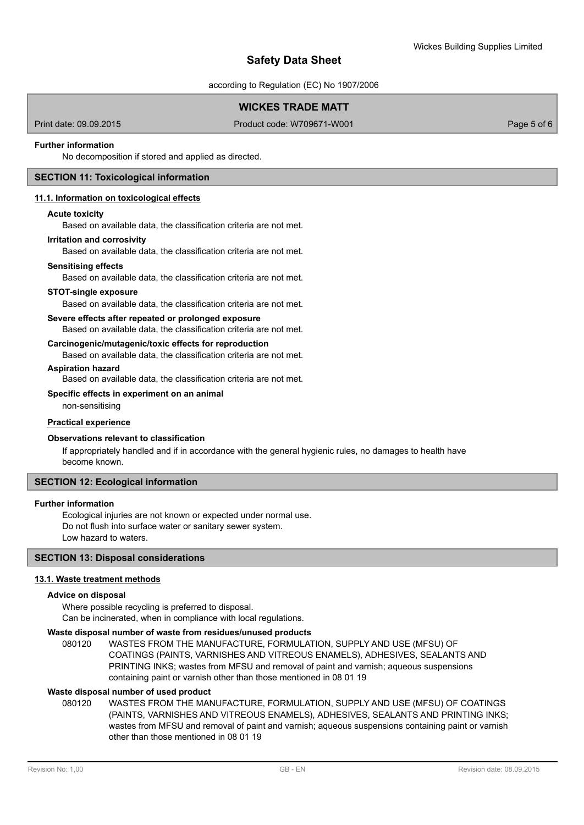according to Regulation (EC) No 1907/2006

# **WICKES TRADE MATT**

Print date: 09.09.2015 Product code: W709671-W001 Page 5 of 6

## **Further information**

No decomposition if stored and applied as directed.

## **SECTION 11: Toxicological information**

### **11.1. Information on toxicological effects**

#### **Acute toxicity**

Based on available data, the classification criteria are not met.

#### **Irritation and corrosivity**

Based on available data, the classification criteria are not met.

#### **Sensitising effects**

Based on available data, the classification criteria are not met.

#### **STOT-single exposure**

Based on available data, the classification criteria are not met.

#### **Severe effects after repeated or prolonged exposure**

Based on available data, the classification criteria are not met.

## **Carcinogenic/mutagenic/toxic effects for reproduction**

Based on available data, the classification criteria are not met.

### **Aspiration hazard**

Based on available data, the classification criteria are not met.

#### **Specific effects in experiment on an animal**

non-sensitising

#### **Practical experience**

## **Observations relevant to classification**

If appropriately handled and if in accordance with the general hygienic rules, no damages to health have become known.

## **SECTION 12: Ecological information**

#### **Further information**

Ecological injuries are not known or expected under normal use. Do not flush into surface water or sanitary sewer system. Low hazard to waters.

### **SECTION 13: Disposal considerations**

### **13.1. Waste treatment methods**

#### **Advice on disposal**

Where possible recycling is preferred to disposal. Can be incinerated, when in compliance with local regulations.

### **Waste disposal number of waste from residues/unused products**

080120 WASTES FROM THE MANUFACTURE, FORMULATION, SUPPLY AND USE (MFSU) OF COATINGS (PAINTS, VARNISHES AND VITREOUS ENAMELS), ADHESIVES, SEALANTS AND PRINTING INKS; wastes from MFSU and removal of paint and varnish; aqueous suspensions containing paint or varnish other than those mentioned in 08 01 19

#### **Waste disposal number of used product**

WASTES FROM THE MANUFACTURE, FORMULATION, SUPPLY AND USE (MFSU) OF COATINGS (PAINTS, VARNISHES AND VITREOUS ENAMELS), ADHESIVES, SEALANTS AND PRINTING INKS; wastes from MFSU and removal of paint and varnish; aqueous suspensions containing paint or varnish other than those mentioned in 08 01 19 080120